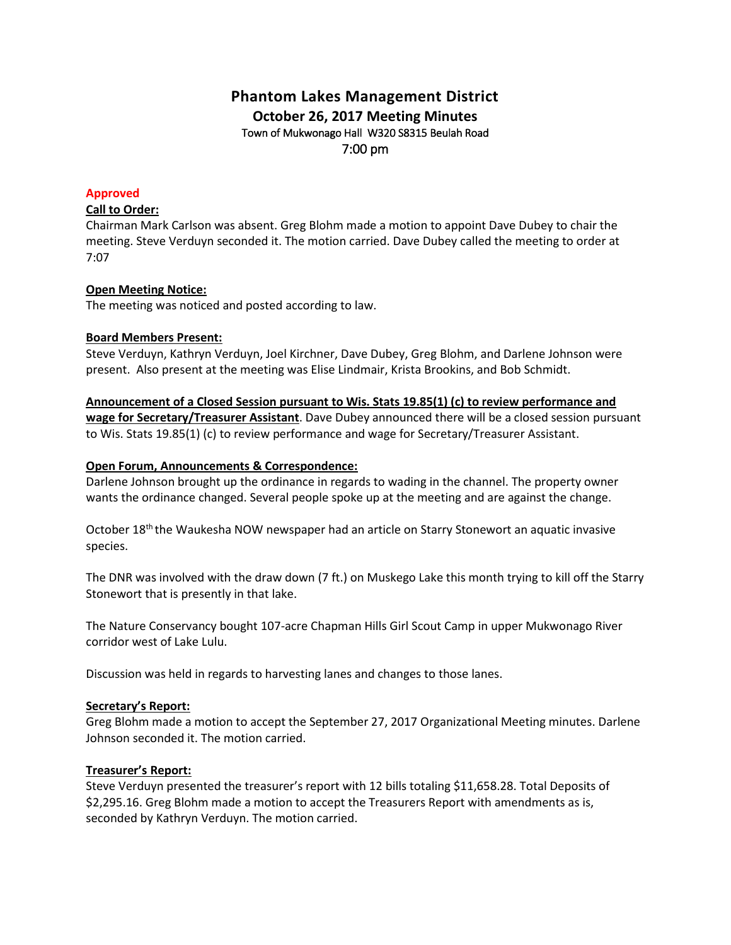# **Phantom Lakes Management District October 26, 2017 Meeting Minutes** Town of Mukwonago Hall W320 S8315 Beulah Road 7:00 pm

### **Approved**

## **Call to Order:**

Chairman Mark Carlson was absent. Greg Blohm made a motion to appoint Dave Dubey to chair the meeting. Steve Verduyn seconded it. The motion carried. Dave Dubey called the meeting to order at 7:07

## **Open Meeting Notice:**

The meeting was noticed and posted according to law.

#### **Board Members Present:**

Steve Verduyn, Kathryn Verduyn, Joel Kirchner, Dave Dubey, Greg Blohm, and Darlene Johnson were present. Also present at the meeting was Elise Lindmair, Krista Brookins, and Bob Schmidt.

**Announcement of a Closed Session pursuant to Wis. Stats 19.85(1) (c) to review performance and wage for Secretary/Treasurer Assistant**. Dave Dubey announced there will be a closed session pursuant to Wis. Stats 19.85(1) (c) to review performance and wage for Secretary/Treasurer Assistant.

#### **Open Forum, Announcements & Correspondence:**

Darlene Johnson brought up the ordinance in regards to wading in the channel. The property owner wants the ordinance changed. Several people spoke up at the meeting and are against the change.

October 18<sup>th</sup> the Waukesha NOW newspaper had an article on Starry Stonewort an aquatic invasive species.

The DNR was involved with the draw down (7 ft.) on Muskego Lake this month trying to kill off the Starry Stonewort that is presently in that lake.

The Nature Conservancy bought 107-acre Chapman Hills Girl Scout Camp in upper Mukwonago River corridor west of Lake Lulu.

Discussion was held in regards to harvesting lanes and changes to those lanes.

## **Secretary's Report:**

Greg Blohm made a motion to accept the September 27, 2017 Organizational Meeting minutes. Darlene Johnson seconded it. The motion carried.

## **Treasurer's Report:**

Steve Verduyn presented the treasurer's report with 12 bills totaling \$11,658.28. Total Deposits of \$2,295.16. Greg Blohm made a motion to accept the Treasurers Report with amendments as is, seconded by Kathryn Verduyn. The motion carried.